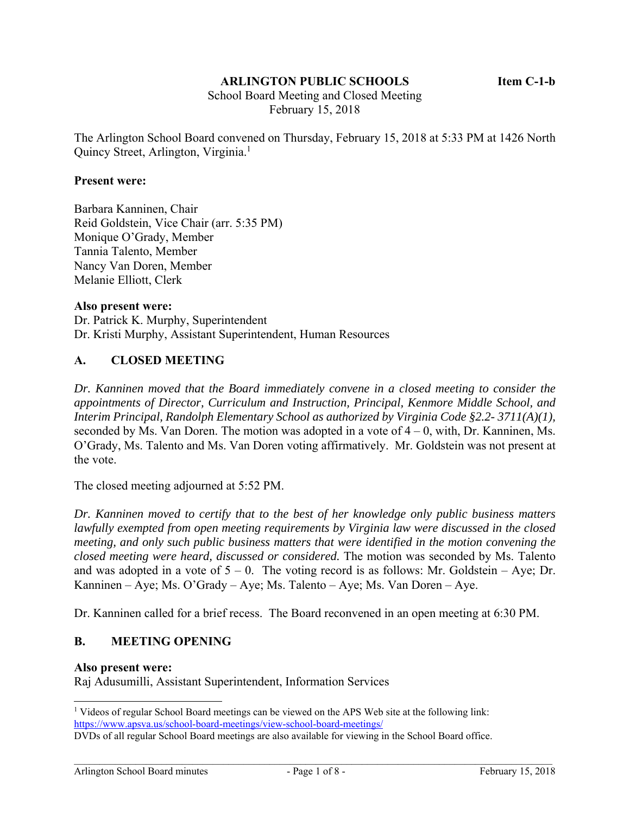## **ARLINGTON PUBLIC SCHOOLS Item C-1-b**

 School Board Meeting and Closed Meeting February 15, 2018

The Arlington School Board convened on Thursday, February 15, 2018 at 5:33 PM at 1426 North Quincy Street, Arlington, Virginia.<sup>1</sup>

### **Present were:**

Barbara Kanninen, Chair Reid Goldstein, Vice Chair (arr. 5:35 PM) Monique O'Grady, Member Tannia Talento, Member Nancy Van Doren, Member Melanie Elliott, Clerk

### **Also present were:**

Dr. Patrick K. Murphy, Superintendent Dr. Kristi Murphy, Assistant Superintendent, Human Resources

## **A. CLOSED MEETING**

*Dr. Kanninen moved that the Board immediately convene in a closed meeting to consider the appointments of Director, Curriculum and Instruction, Principal, Kenmore Middle School, and Interim Principal, Randolph Elementary School as authorized by Virginia Code §2.2- 3711(A)(1),*  seconded by Ms. Van Doren. The motion was adopted in a vote of  $4 - 0$ , with, Dr. Kanninen, Ms. O'Grady, Ms. Talento and Ms. Van Doren voting affirmatively. Mr. Goldstein was not present at the vote.

The closed meeting adjourned at 5:52 PM.

*Dr. Kanninen moved to certify that to the best of her knowledge only public business matters lawfully exempted from open meeting requirements by Virginia law were discussed in the closed meeting, and only such public business matters that were identified in the motion convening the closed meeting were heard, discussed or considered.* The motion was seconded by Ms. Talento and was adopted in a vote of  $5 - 0$ . The voting record is as follows: Mr. Goldstein – Aye; Dr. Kanninen – Aye; Ms. O'Grady – Aye; Ms. Talento – Aye; Ms. Van Doren – Aye.

Dr. Kanninen called for a brief recess. The Board reconvened in an open meeting at 6:30 PM.

### **B. MEETING OPENING**

#### **Also present were:**

l

Raj Adusumilli, Assistant Superintendent, Information Services

<sup>&</sup>lt;sup>1</sup> Videos of regular School Board meetings can be viewed on the APS Web site at the following link: https://www.apsva.us/school-board-meetings/view-school-board-meetings/

DVDs of all regular School Board meetings are also available for viewing in the School Board office.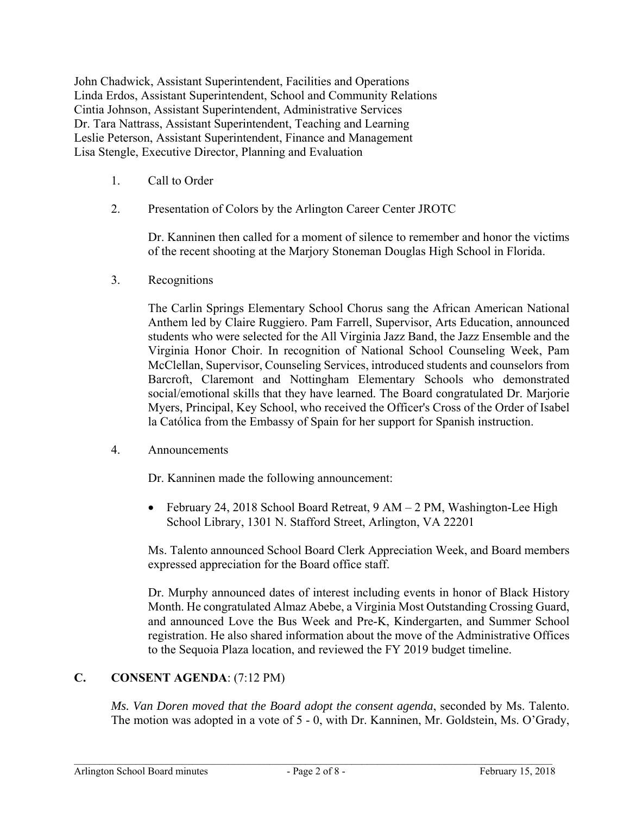John Chadwick, Assistant Superintendent, Facilities and Operations Linda Erdos, Assistant Superintendent, School and Community Relations Cintia Johnson, Assistant Superintendent, Administrative Services Dr. Tara Nattrass, Assistant Superintendent, Teaching and Learning Leslie Peterson, Assistant Superintendent, Finance and Management Lisa Stengle, Executive Director, Planning and Evaluation

- 1. Call to Order
- 2. Presentation of Colors by the Arlington Career Center JROTC

Dr. Kanninen then called for a moment of silence to remember and honor the victims of the recent shooting at the Marjory Stoneman Douglas High School in Florida.

3. Recognitions

The Carlin Springs Elementary School Chorus sang the African American National Anthem led by Claire Ruggiero. Pam Farrell, Supervisor, Arts Education, announced students who were selected for the All Virginia Jazz Band, the Jazz Ensemble and the Virginia Honor Choir. In recognition of National School Counseling Week, Pam McClellan, Supervisor, Counseling Services, introduced students and counselors from Barcroft, Claremont and Nottingham Elementary Schools who demonstrated social/emotional skills that they have learned. The Board congratulated Dr. Marjorie Myers, Principal, Key School, who received the Officer's Cross of the Order of Isabel la Católica from the Embassy of Spain for her support for Spanish instruction.

4. Announcements

Dr. Kanninen made the following announcement:

 February 24, 2018 School Board Retreat, 9 AM – 2 PM, Washington-Lee High School Library, 1301 N. Stafford Street, Arlington, VA 22201

Ms. Talento announced School Board Clerk Appreciation Week, and Board members expressed appreciation for the Board office staff.

Dr. Murphy announced dates of interest including events in honor of Black History Month. He congratulated Almaz Abebe, a Virginia Most Outstanding Crossing Guard, and announced Love the Bus Week and Pre-K, Kindergarten, and Summer School registration. He also shared information about the move of the Administrative Offices to the Sequoia Plaza location, and reviewed the FY 2019 budget timeline.

# **C. CONSENT AGENDA**: (7:12 PM)

*Ms. Van Doren moved that the Board adopt the consent agenda*, seconded by Ms. Talento. The motion was adopted in a vote of 5 - 0, with Dr. Kanninen, Mr. Goldstein, Ms. O'Grady,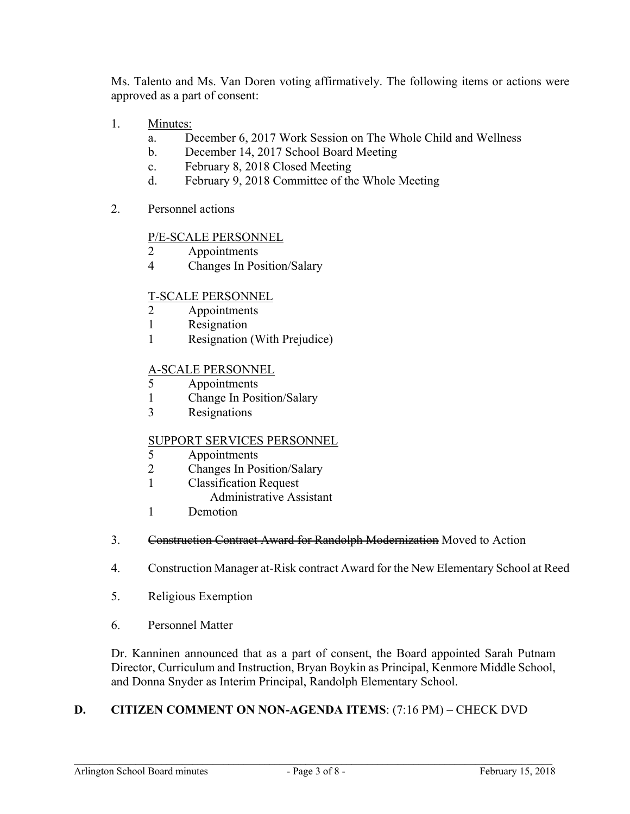Ms. Talento and Ms. Van Doren voting affirmatively. The following items or actions were approved as a part of consent:

- 1. Minutes:
	- a. December 6, 2017 Work Session on The Whole Child and Wellness
	- b. December 14, 2017 School Board Meeting
	- c. February 8, 2018 Closed Meeting
	- d. February 9, 2018 Committee of the Whole Meeting
- 2. Personnel actions

# P/E-SCALE PERSONNEL

- 2 Appointments
- 4 Changes In Position/Salary

# T-SCALE PERSONNEL

- 2 Appointments
- 1 Resignation
- 1 Resignation (With Prejudice)

# A-SCALE PERSONNEL

- 5 Appointments
- 1 Change In Position/Salary
- 3 Resignations

## SUPPORT SERVICES PERSONNEL

- 5 Appointments
- 2 Changes In Position/Salary
- 1 Classification Request
	- Administrative Assistant
- 1 Demotion
- 3. Construction Contract Award for Randolph Modernization Moved to Action
- 4. Construction Manager at-Risk contract Award for the New Elementary School at Reed
- 5. Religious Exemption
- 6. Personnel Matter

Dr. Kanninen announced that as a part of consent, the Board appointed Sarah Putnam Director, Curriculum and Instruction, Bryan Boykin as Principal, Kenmore Middle School, and Donna Snyder as Interim Principal, Randolph Elementary School.

# **D. CITIZEN COMMENT ON NON-AGENDA ITEMS**: (7:16 PM) – CHECK DVD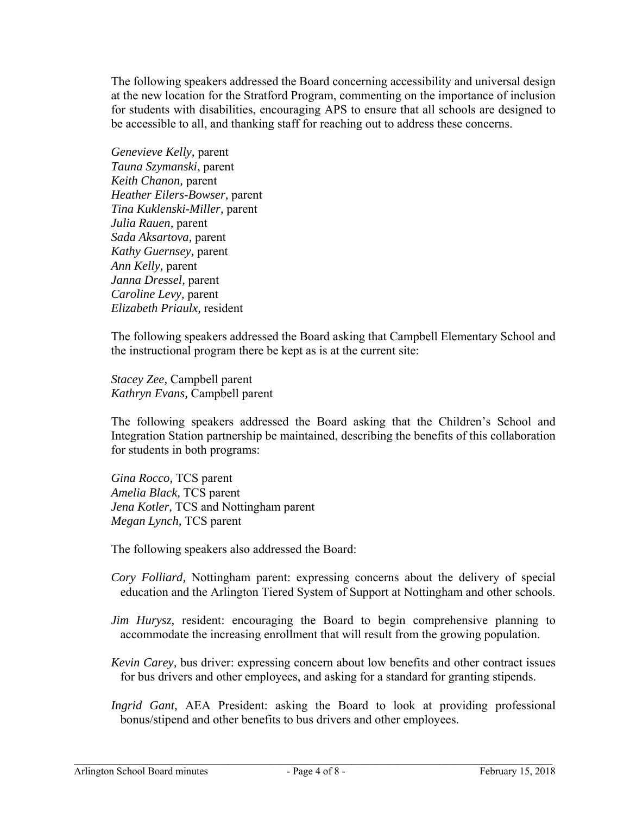The following speakers addressed the Board concerning accessibility and universal design at the new location for the Stratford Program, commenting on the importance of inclusion for students with disabilities, encouraging APS to ensure that all schools are designed to be accessible to all, and thanking staff for reaching out to address these concerns.

*Genevieve Kelly,* parent *Tauna Szymanski*, parent *Keith Chanon,* parent *Heather Eilers-Bowser,* parent *Tina Kuklenski-Miller,* parent *Julia Rauen,* parent *Sada Aksartova,* parent *Kathy Guernsey,* parent *Ann Kelly,* parent *Janna Dressel,* parent *Caroline Levy,* parent *Elizabeth Priaulx,* resident

The following speakers addressed the Board asking that Campbell Elementary School and the instructional program there be kept as is at the current site:

*Stacey Zee,* Campbell parent *Kathryn Evans,* Campbell parent

The following speakers addressed the Board asking that the Children's School and Integration Station partnership be maintained, describing the benefits of this collaboration for students in both programs:

*Gina Rocco,* TCS parent *Amelia Black,* TCS parent *Jena Kotler,* TCS and Nottingham parent *Megan Lynch,* TCS parent

The following speakers also addressed the Board:

- *Cory Folliard,* Nottingham parent: expressing concerns about the delivery of special education and the Arlington Tiered System of Support at Nottingham and other schools.
- *Jim Hurysz*, resident: encouraging the Board to begin comprehensive planning to accommodate the increasing enrollment that will result from the growing population.
- *Kevin Carey,* bus driver: expressing concern about low benefits and other contract issues for bus drivers and other employees, and asking for a standard for granting stipends.
- *Ingrid Gant,* AEA President: asking the Board to look at providing professional bonus/stipend and other benefits to bus drivers and other employees.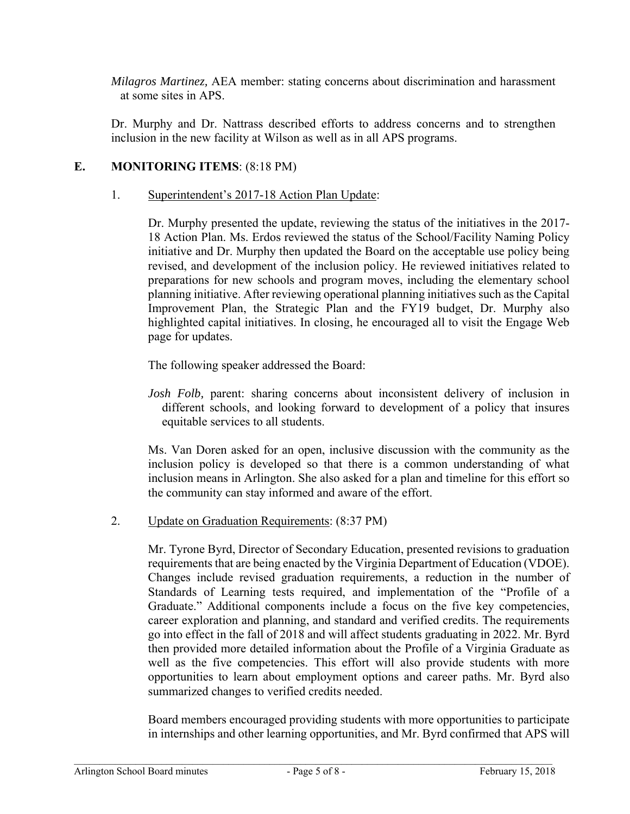*Milagros Martinez,* AEA member: stating concerns about discrimination and harassment at some sites in APS.

Dr. Murphy and Dr. Nattrass described efforts to address concerns and to strengthen inclusion in the new facility at Wilson as well as in all APS programs.

# **E. MONITORING ITEMS**: (8:18 PM)

## 1. Superintendent's 2017-18 Action Plan Update:

Dr. Murphy presented the update, reviewing the status of the initiatives in the 2017- 18 Action Plan. Ms. Erdos reviewed the status of the School/Facility Naming Policy initiative and Dr. Murphy then updated the Board on the acceptable use policy being revised, and development of the inclusion policy. He reviewed initiatives related to preparations for new schools and program moves, including the elementary school planning initiative. After reviewing operational planning initiatives such as the Capital Improvement Plan, the Strategic Plan and the FY19 budget, Dr. Murphy also highlighted capital initiatives. In closing, he encouraged all to visit the Engage Web page for updates.

The following speaker addressed the Board:

*Josh Folb,* parent: sharing concerns about inconsistent delivery of inclusion in different schools, and looking forward to development of a policy that insures equitable services to all students.

Ms. Van Doren asked for an open, inclusive discussion with the community as the inclusion policy is developed so that there is a common understanding of what inclusion means in Arlington. She also asked for a plan and timeline for this effort so the community can stay informed and aware of the effort.

2. Update on Graduation Requirements: (8:37 PM)

Mr. Tyrone Byrd, Director of Secondary Education, presented revisions to graduation requirements that are being enacted by the Virginia Department of Education (VDOE). Changes include revised graduation requirements, a reduction in the number of Standards of Learning tests required, and implementation of the "Profile of a Graduate." Additional components include a focus on the five key competencies, career exploration and planning, and standard and verified credits. The requirements go into effect in the fall of 2018 and will affect students graduating in 2022. Mr. Byrd then provided more detailed information about the Profile of a Virginia Graduate as well as the five competencies. This effort will also provide students with more opportunities to learn about employment options and career paths. Mr. Byrd also summarized changes to verified credits needed.

Board members encouraged providing students with more opportunities to participate in internships and other learning opportunities, and Mr. Byrd confirmed that APS will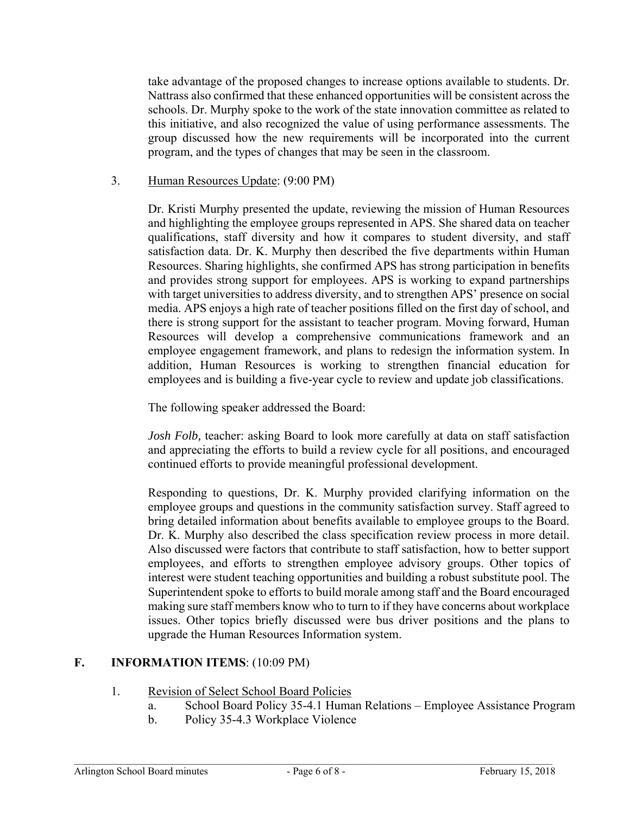take advantage of the proposed changes to increase options available to students. Dr. Nattrass also confirmed that these enhanced opportunities will be consistent across the schools. Dr. Murphy spoke to the work of the state innovation committee as related to this initiative, and also recognized the value of using performance assessments. The group discussed how the new requirements will be incorporated into the current program, and the types of changes that may be seen in the classroom.

## 3. Human Resources Update: (9:00 PM)

Dr. Kristi Murphy presented the update, reviewing the mission of Human Resources and highlighting the employee groups represented in APS. She shared data on teacher qualifications, staff diversity and how it compares to student diversity, and staff satisfaction data. Dr. K. Murphy then described the five departments within Human Resources. Sharing highlights, she confirmed APS has strong participation in benefits and provides strong support for employees. APS is working to expand partnerships with target universities to address diversity, and to strengthen APS' presence on social media. APS enjoys a high rate of teacher positions filled on the first day of school, and there is strong support for the assistant to teacher program. Moving forward, Human Resources will develop a comprehensive communications framework and an employee engagement framework, and plans to redesign the information system. In addition, Human Resources is working to strengthen financial education for employees and is building a five-year cycle to review and update job classifications.

The following speaker addressed the Board:

*Josh Folb,* teacher: asking Board to look more carefully at data on staff satisfaction and appreciating the efforts to build a review cycle for all positions, and encouraged continued efforts to provide meaningful professional development.

Responding to questions, Dr. K. Murphy provided clarifying information on the employee groups and questions in the community satisfaction survey. Staff agreed to bring detailed information about benefits available to employee groups to the Board. Dr. K. Murphy also described the class specification review process in more detail. Also discussed were factors that contribute to staff satisfaction, how to better support employees, and efforts to strengthen employee advisory groups. Other topics of interest were student teaching opportunities and building a robust substitute pool. The Superintendent spoke to efforts to build morale among staff and the Board encouraged making sure staff members know who to turn to if they have concerns about workplace issues. Other topics briefly discussed were bus driver positions and the plans to upgrade the Human Resources Information system.

## **F. INFORMATION ITEMS**: (10:09 PM)

- 1. Revision of Select School Board Policies
	- a. School Board Policy 35-4.1 Human Relations Employee Assistance Program
	- b. Policy 35-4.3 Workplace Violence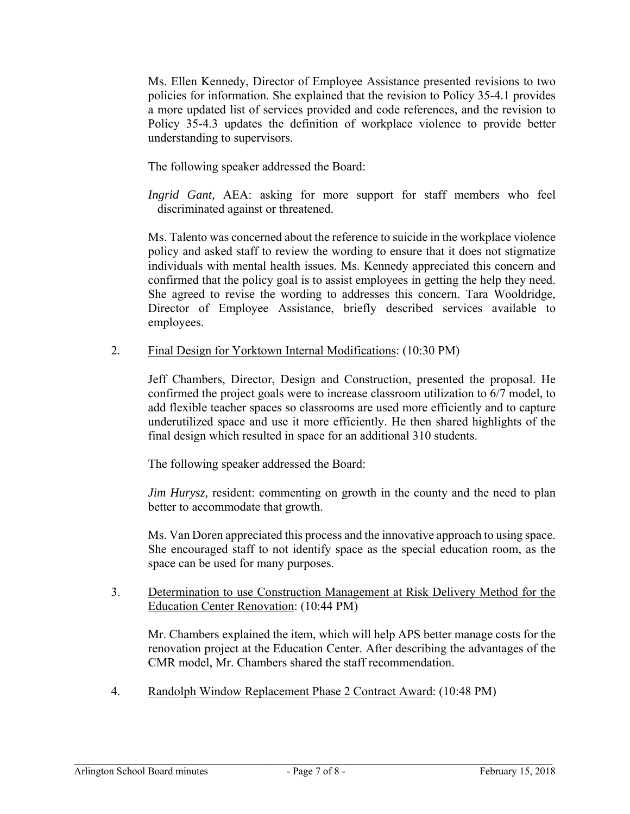Ms. Ellen Kennedy, Director of Employee Assistance presented revisions to two policies for information. She explained that the revision to Policy 35-4.1 provides a more updated list of services provided and code references, and the revision to Policy 35-4.3 updates the definition of workplace violence to provide better understanding to supervisors.

The following speaker addressed the Board:

*Ingrid Gant,* AEA: asking for more support for staff members who feel discriminated against or threatened.

Ms. Talento was concerned about the reference to suicide in the workplace violence policy and asked staff to review the wording to ensure that it does not stigmatize individuals with mental health issues. Ms. Kennedy appreciated this concern and confirmed that the policy goal is to assist employees in getting the help they need. She agreed to revise the wording to addresses this concern. Tara Wooldridge, Director of Employee Assistance, briefly described services available to employees.

2. Final Design for Yorktown Internal Modifications: (10:30 PM)

Jeff Chambers, Director, Design and Construction, presented the proposal. He confirmed the project goals were to increase classroom utilization to 6/7 model, to add flexible teacher spaces so classrooms are used more efficiently and to capture underutilized space and use it more efficiently. He then shared highlights of the final design which resulted in space for an additional 310 students.

The following speaker addressed the Board:

*Jim Hurysz*, resident: commenting on growth in the county and the need to plan better to accommodate that growth.

Ms. Van Doren appreciated this process and the innovative approach to using space. She encouraged staff to not identify space as the special education room, as the space can be used for many purposes.

3. Determination to use Construction Management at Risk Delivery Method for the Education Center Renovation: (10:44 PM)

Mr. Chambers explained the item, which will help APS better manage costs for the renovation project at the Education Center. After describing the advantages of the CMR model, Mr. Chambers shared the staff recommendation.

4. Randolph Window Replacement Phase 2 Contract Award: (10:48 PM)